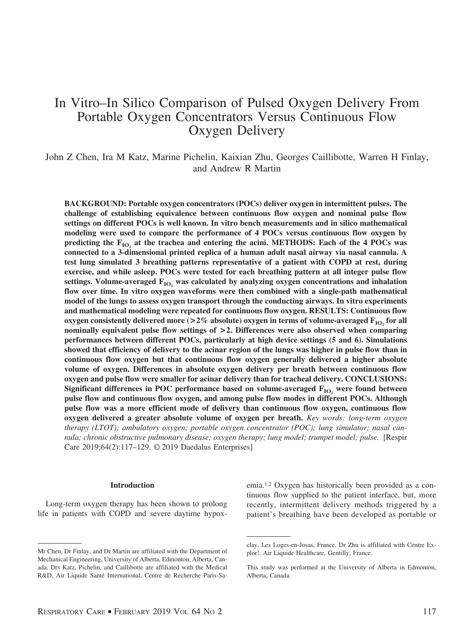# In Vitro–In Silico Comparison of Pulsed Oxygen Delivery From Portable Oxygen Concentrators Versus Continuous Flow Oxygen Delivery

John Z Chen, Ira M Katz, Marine Pichelin, Kaixian Zhu, Georges Caillibotte, Warren H Finlay, and Andrew R Martin

**BACKGROUND: Portable oxygen concentrators (POCs) deliver oxygen in intermittent pulses. The challenge of establishing equivalence between continuous flow oxygen and nominal pulse flow settings on different POCs is well known. In vitro bench measurements and in silico mathematical modeling were used to compare the performance of 4 POCs versus continuous flow oxygen by predicting the FIO2 at the trachea and entering the acini. METHODS: Each of the 4 POCs was connected to a 3-dimensional printed replica of a human adult nasal airway via nasal cannula. A test lung simulated 3 breathing patterns representative of a patient with COPD at rest, during exercise, and while asleep. POCs were tested for each breathing pattern at all integer pulse flow** settings. Volume-averaged  $F_{102}$  was calculated by analyzing oxygen concentrations and inhalation **flow over time. In vitro oxygen waveforms were then combined with a single-path mathematical model of the lungs to assess oxygen transport through the conducting airways. In vitro experiments and mathematical modeling were repeated for continuous flow oxygen. RESULTS: Continuous flow oxygen consistently delivered more (>2% absolute) oxygen in terms of volume-averaged F<sub>IO</sub>, for all nominally equivalent pulse flow settings of >2. Differences were also observed when comparing performances between different POCs, particularly at high device settings (5 and 6). Simulations showed that efficiency of delivery to the acinar region of the lungs was higher in pulse flow than in continuous flow oxygen but that continuous flow oxygen generally delivered a higher absolute volume of oxygen. Differences in absolute oxygen delivery per breath between continuous flow oxygen and pulse flow were smaller for acinar delivery than for tracheal delivery. CONCLUSIONS: Significant differences in POC performance based on volume-averaged**  $F_{IO}$ **, were found between pulse flow and continuous flow oxygen, and among pulse flow modes in different POCs. Although pulse flow was a more efficient mode of delivery than continuous flow oxygen, continuous flow oxygen delivered a greater absolute volume of oxygen per breath.** *Key words: long-term oxygen therapy (LTOT); ambulatory oxygen; portable oxygen concentrator (POC); lung simulator; nasal cannula; chronic obstructive pulmonary disease; oxygen therapy; lung model; trumpet model; pulse.* [Respir Care 2019;64(2):117–129. © 2019 Daedalus Enterprises]

#### **Introduction**

Long-term oxygen therapy has been shown to prolong life in patients with COPD and severe daytime hypoxemia.1,2 Oxygen has historically been provided as a continuous flow supplied to the patient interface, but, more recently, intermittent delivery methods triggered by a patient's breathing have been developed as portable or

Mr Chen, Dr Finlay, and Dr Martin are affiliated with the Department of Mechanical Engineering, University of Alberta, Edmonton, Alberta, Canada. Drs Katz, Pichelin, and Caillibotte are affiliated with the Medical R&D, Air Liquide Santé International, Centre de Recherche Paris-Sa-

clay, Les Loges-en-Josas, France. Dr Zhu is affiliated with Centre Explor!, Air Liquide Healthcare, Gentilly, France.

This study was performed at the University of Alberta in Edmonton, Alberta, Canada.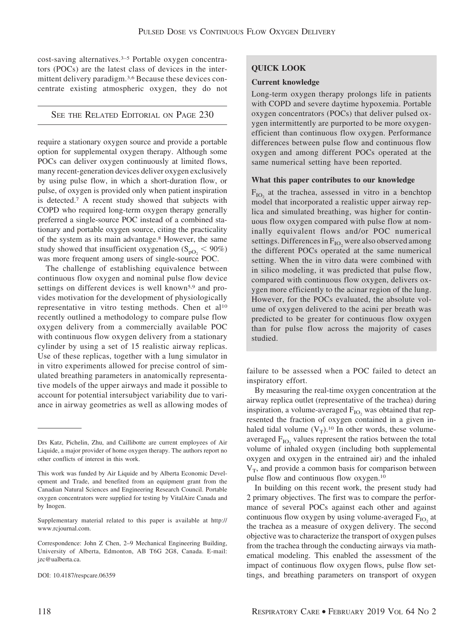cost-saving alternatives.<sup>3-5</sup> Portable oxygen concentrators (POCs) are the latest class of devices in the intermittent delivery paradigm.3,6 Because these devices concentrate existing atmospheric oxygen, they do not

# SEE THE RELATED EDITORIAL ON PAGE 230

require a stationary oxygen source and provide a portable option for supplemental oxygen therapy. Although some POCs can deliver oxygen continuously at limited flows, many recent-generation devices deliver oxygen exclusively by using pulse flow, in which a short-duration flow, or pulse, of oxygen is provided only when patient inspiration is detected.7 A recent study showed that subjects with COPD who required long-term oxygen therapy generally preferred a single-source POC instead of a combined stationary and portable oxygen source, citing the practicality of the system as its main advantage.8 However, the same study showed that insufficient oxygenation  $(S_{pQ_2} < 90\%)$ was more frequent among users of single-source POC.

The challenge of establishing equivalence between continuous flow oxygen and nominal pulse flow device settings on different devices is well known<sup>5,9</sup> and provides motivation for the development of physiologically representative in vitro testing methods. Chen et al<sup>10</sup> recently outlined a methodology to compare pulse flow oxygen delivery from a commercially available POC with continuous flow oxygen delivery from a stationary cylinder by using a set of 15 realistic airway replicas. Use of these replicas, together with a lung simulator in in vitro experiments allowed for precise control of simulated breathing parameters in anatomically representative models of the upper airways and made it possible to account for potential intersubject variability due to variance in airway geometries as well as allowing modes of

Supplementary material related to this paper is available at http:// www.rcjournal.com.

## **QUICK LOOK**

#### **Current knowledge**

Long-term oxygen therapy prolongs life in patients with COPD and severe daytime hypoxemia. Portable oxygen concentrators (POCs) that deliver pulsed oxygen intermittently are purported to be more oxygenefficient than continuous flow oxygen. Performance differences between pulse flow and continuous flow oxygen and among different POCs operated at the same numerical setting have been reported.

#### **What this paper contributes to our knowledge**

 $F_{IO}$  at the trachea, assessed in vitro in a benchtop model that incorporated a realistic upper airway replica and simulated breathing, was higher for continuous flow oxygen compared with pulse flow at nominally equivalent flows and/or POC numerical settings. Differences in  $\mathrm{F_{IO_2}}$  were also observed among the different POCs operated at the same numerical setting. When the in vitro data were combined with in silico modeling, it was predicted that pulse flow, compared with continuous flow oxygen, delivers oxygen more efficiently to the acinar region of the lung. However, for the POCs evaluated, the absolute volume of oxygen delivered to the acini per breath was predicted to be greater for continuous flow oxygen than for pulse flow across the majority of cases studied.

failure to be assessed when a POC failed to detect an inspiratory effort.

By measuring the real-time oxygen concentration at the airway replica outlet (representative of the trachea) during inspiration, a volume-averaged  $F_{IO}$  was obtained that represented the fraction of oxygen contained in a given inhaled tidal volume  $(V_T)$ .<sup>10</sup> In other words, these volumeaveraged  $F_{IO}$ , values represent the ratios between the total volume of inhaled oxygen (including both supplemental oxygen and oxygen in the entrained air) and the inhaled  $V_T$ , and provide a common basis for comparison between pulse flow and continuous flow oxygen.10

In building on this recent work, the present study had 2 primary objectives. The first was to compare the performance of several POCs against each other and against continuous flow oxygen by using volume-averaged  $F_{IO}$  at the trachea as a measure of oxygen delivery. The second objective was to characterize the transport of oxygen pulses from the trachea through the conducting airways via mathematical modeling. This enabled the assessment of the impact of continuous flow oxygen flows, pulse flow settings, and breathing parameters on transport of oxygen

Drs Katz, Pichelin, Zhu, and Caillibotte are current employees of Air Liquide, a major provider of home oxygen therapy. The authors report no other conflicts of interest in this work.

This work was funded by Air Liquide and by Alberta Economic Development and Trade, and benefited from an equipment grant from the Canadian Natural Sciences and Engineering Research Council. Portable oxygen concentrators were supplied for testing by VitalAire Canada and by Inogen.

Correspondence: John Z Chen, 2–9 Mechanical Engineering Building, University of Alberta, Edmonton, AB T6G 2G8, Canada. E-mail: jzc@ualberta.ca.

DOI: 10.4187/respcare.06359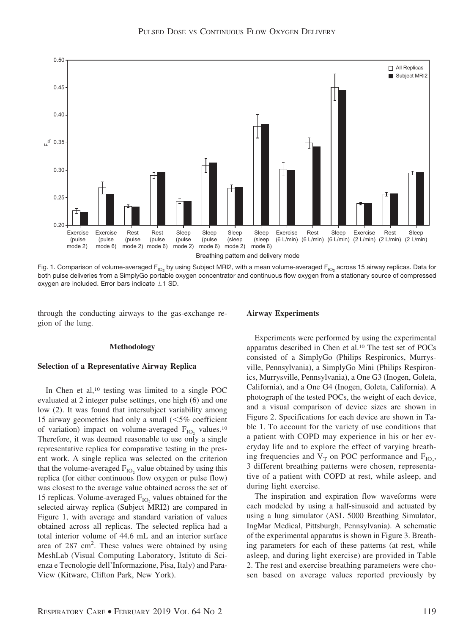

Fig. 1. Comparison of volume-averaged F<sub>IO<sub>2</sub> by using Subject MRI2, with a mean volume-averaged F<sub>IO2</sub> across 15 airway replicas. Data for</sub> both pulse deliveries from a SimplyGo portable oxygen concentrator and continuous flow oxygen from a stationary source of compressed oxygen are included. Error bars indicate  $\pm 1$  SD.

through the conducting airways to the gas-exchange region of the lung.

#### **Methodology**

#### **Selection of a Representative Airway Replica**

In Chen et al,<sup>10</sup> testing was limited to a single POC evaluated at 2 integer pulse settings, one high (6) and one low (2). It was found that intersubject variability among 15 airway geometries had only a small  $(<5\%$  coefficient of variation) impact on volume-averaged  $F_{IO}$  values.<sup>10</sup> Therefore, it was deemed reasonable to use only a single representative replica for comparative testing in the present work. A single replica was selected on the criterion that the volume-averaged  $F_{IO}$  value obtained by using this replica (for either continuous flow oxygen or pulse flow) was closest to the average value obtained across the set of 15 replicas. Volume-averaged  $F_{IO}$  values obtained for the selected airway replica (Subject MRI2) are compared in Figure 1, with average and standard variation of values obtained across all replicas. The selected replica had a total interior volume of 44.6 mL and an interior surface area of 287 cm<sup>2</sup>. These values were obtained by using MeshLab (Visual Computing Laboratory, Istituto di Scienza e Tecnologie dell'Informazione, Pisa, Italy) and Para-View (Kitware, Clifton Park, New York).

#### **Airway Experiments**

Experiments were performed by using the experimental apparatus described in Chen et al.10 The test set of POCs consisted of a SimplyGo (Philips Respironics, Murrysville, Pennsylvania), a SimplyGo Mini (Philips Respironics, Murrysville, Pennsylvania), a One G3 (Inogen, Goleta, California), and a One G4 (Inogen, Goleta, California). A photograph of the tested POCs, the weight of each device, and a visual comparison of device sizes are shown in Figure 2. Specifications for each device are shown in Table 1. To account for the variety of use conditions that a patient with COPD may experience in his or her everyday life and to explore the effect of varying breathing frequencies and  $V_T$  on POC performance and  $F_{IO_2}$ , 3 different breathing patterns were chosen, representative of a patient with COPD at rest, while asleep, and during light exercise.

The inspiration and expiration flow waveforms were each modeled by using a half-sinusoid and actuated by using a lung simulator (ASL 5000 Breathing Simulator, IngMar Medical, Pittsburgh, Pennsylvania). A schematic of the experimental apparatus is shown in Figure 3. Breathing parameters for each of these patterns (at rest, while asleep, and during light exercise) are provided in Table 2. The rest and exercise breathing parameters were chosen based on average values reported previously by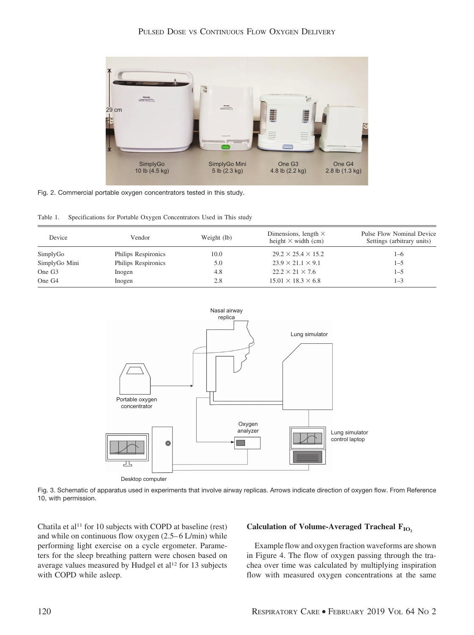

Fig. 2. Commercial portable oxygen concentrators tested in this study.

Table 1. Specifications for Portable Oxygen Concentrators Used in This study

| Device             | Vendor              | Weight (lb) | Dimensions, length $\times$<br>height $\times$ width (cm) | Pulse Flow Nominal Device<br>Settings (arbitrary units) |  |
|--------------------|---------------------|-------------|-----------------------------------------------------------|---------------------------------------------------------|--|
| SimplyGo           | Philips Respironics | 10.0        | $29.2 \times 25.4 \times 15.2$                            | 1-6                                                     |  |
| SimplyGo Mini      | Philips Respironics | 5.0         | $23.9 \times 21.1 \times 9.1$                             | $1 - 5$                                                 |  |
| One G <sub>3</sub> | Inogen              | 4.8         | $22.2 \times 21 \times 7.6$                               | 1–5                                                     |  |
| One G <sub>4</sub> | Inogen              | 2.8         | $15.01 \times 18.3 \times 6.8$                            | $1 - 3$                                                 |  |



Desktop computer

Fig. 3. Schematic of apparatus used in experiments that involve airway replicas. Arrows indicate direction of oxygen flow. From Reference 10, with permission.

Chatila et al<sup>11</sup> for 10 subjects with COPD at baseline (rest) and while on continuous flow oxygen  $(2.5-6 \text{ L/min})$  while performing light exercise on a cycle ergometer. Parameters for the sleep breathing pattern were chosen based on average values measured by Hudgel et al<sup>12</sup> for 13 subjects with COPD while asleep.

## Calculation of Volume-Averaged Tracheal F<sub>IO</sub><sub>2</sub>

Example flow and oxygen fraction waveforms are shown in Figure 4. The flow of oxygen passing through the trachea over time was calculated by multiplying inspiration flow with measured oxygen concentrations at the same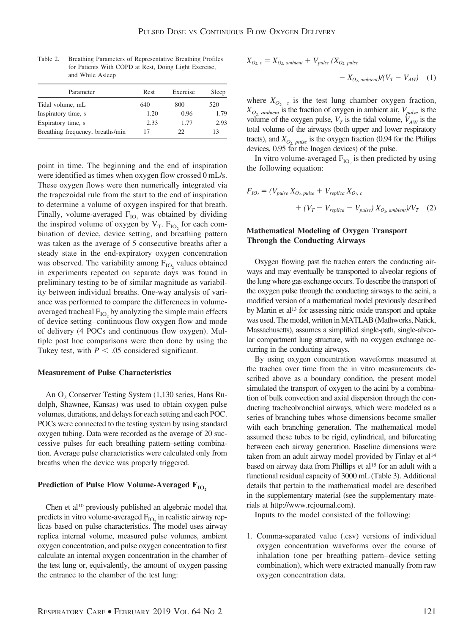| Table 2. | Breathing Parameters of Representative Breathing Profiles |
|----------|-----------------------------------------------------------|
|          | for Patients With COPD at Rest, Doing Light Exercise,     |
|          | and While Asleep                                          |

| Parameter                        | <b>Rest</b> | Exercise | Sleep |
|----------------------------------|-------------|----------|-------|
| Tidal volume, mL                 | 640         | 800      | 520   |
| Inspiratory time, s              | 1.20        | 0.96     | 1.79  |
| Expiratory time, s               | 2.33        | 1.77     | 2.93  |
| Breathing frequency, breaths/min | 17          | 22       | 13    |

point in time. The beginning and the end of inspiration were identified as times when oxygen flow crossed 0 mL/s. These oxygen flows were then numerically integrated via the trapezoidal rule from the start to the end of inspiration to determine a volume of oxygen inspired for that breath. Finally, volume-averaged  $F_{IO}$ , was obtained by dividing the inspired volume of oxygen by  $V_T$ .  $F_{IO}$  for each combination of device, device setting, and breathing pattern was taken as the average of 5 consecutive breaths after a steady state in the end-expiratory oxygen concentration was observed. The variability among  $F_{IO}$  values obtained in experiments repeated on separate days was found in preliminary testing to be of similar magnitude as variability between individual breaths. One-way analysis of variance was performed to compare the differences in volumeaveraged tracheal  $F_{IO}$ , by analyzing the simple main effects of device setting– continuous flow oxygen flow and mode of delivery (4 POCs and continuous flow oxygen). Multiple post hoc comparisons were then done by using the Tukey test, with  $P < .05$  considered significant.

## **Measurement of Pulse Characteristics**

An O<sub>2</sub> Conserver Testing System (1,130 series, Hans Rudolph, Shawnee, Kansas) was used to obtain oxygen pulse volumes, durations, and delays for each setting and each POC. POCs were connected to the testing system by using standard oxygen tubing. Data were recorded as the average of 20 successive pulses for each breathing pattern–setting combination. Average pulse characteristics were calculated only from breaths when the device was properly triggered.

#### **Prediction of Pulse Flow Volume-Averaged F<sub>IO</sub>**

Chen et al10 previously published an algebraic model that predicts in vitro volume-averaged  $F_{IO}$  in realistic airway replicas based on pulse characteristics. The model uses airway replica internal volume, measured pulse volumes, ambient oxygen concentration, and pulse oxygen concentration to first calculate an internal oxygen concentration in the chamber of the test lung or, equivalently, the amount of oxygen passing the entrance to the chamber of the test lung:

$$
X_{O_2, c} = X_{O_2, ambient} + V_{pulse} (X_{O_2, pulse} - X_{O_2, ambient}) / (V_T - V_{AW})
$$
 (1)

where  $X_{O_2, c}$  is the test lung chamber oxygen fraction,  $X_{O_2}$  *ambient* is the fraction of oxygen in ambient air,  $V_{pulse}$  is the volume of the oxygen pulse,  $V_T$  is the tidal volume,  $V_{AW}$  is the total volume of the airways (both upper and lower respiratory tracts), and  $X_{O_2}$  *pulse* is the oxygen fraction (0.94 for the Philips devices, 0.95 for the Inogen devices) of the pulse.

In vitro volume-averaged  $F_{IO}$  is then predicted by using the following equation:

$$
F_{IO_2} = (V_{pulse} X_{O_2, pulse} + V_{replica} X_{O_2, c}
$$

$$
+ (V_T - V_{replica} - V_{pulse}) X_{O_2, ambient})/V_T
$$
 (2)

## **Mathematical Modeling of Oxygen Transport Through the Conducting Airways**

Oxygen flowing past the trachea enters the conducting airways and may eventually be transported to alveolar regions of the lung where gas exchange occurs. To describe the transport of the oxygen pulse through the conducting airways to the acini, a modified version of a mathematical model previously described by Martin et al<sup>13</sup> for assessing nitric oxide transport and uptake was used. The model, written in MATLAB (Mathworks, Natick, Massachusetts), assumes a simplified single-path, single-alveolar compartment lung structure, with no oxygen exchange occurring in the conducting airways.

By using oxygen concentration waveforms measured at the trachea over time from the in vitro measurements described above as a boundary condition, the present model simulated the transport of oxygen to the acini by a combination of bulk convection and axial dispersion through the conducting tracheobronchial airways, which were modeled as a series of branching tubes whose dimensions become smaller with each branching generation. The mathematical model assumed these tubes to be rigid, cylindrical, and bifurcating between each airway generation. Baseline dimensions were taken from an adult airway model provided by Finlay et al<sup>14</sup> based on airway data from Phillips et al<sup>15</sup> for an adult with a functional residual capacity of 3000 mL (Table 3). Additional details that pertain to the mathematical model are described in the supplementary material (see the supplementary materials at http://www.rcjournal.com).

Inputs to the model consisted of the following:

1. Comma-separated value (.csv) versions of individual oxygen concentration waveforms over the course of inhalation (one per breathing pattern– device setting combination), which were extracted manually from raw oxygen concentration data.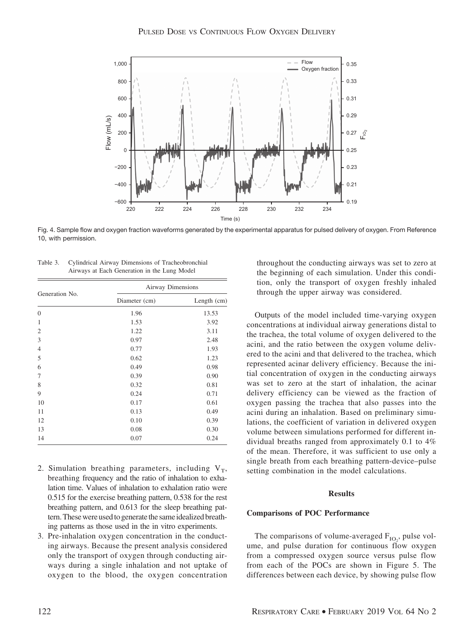

Fig. 4. Sample flow and oxygen fraction waveforms generated by the experimental apparatus for pulsed delivery of oxygen. From Reference 10, with permission.

| Table 3. | Cylindrical Airway Dimensions of Tracheobronchial |
|----------|---------------------------------------------------|
|          | Airways at Each Generation in the Lung Model      |

|                | Airway Dimensions |             |  |  |
|----------------|-------------------|-------------|--|--|
| Generation No. | Diameter (cm)     | Length (cm) |  |  |
| $\mathbf{0}$   | 1.96              | 13.53       |  |  |
| 1              | 1.53              | 3.92        |  |  |
| $\overline{2}$ | 1.22              | 3.11        |  |  |
| 3              | 0.97              | 2.48        |  |  |
| $\overline{4}$ | 0.77              | 1.93        |  |  |
| 5              | 0.62              | 1.23        |  |  |
| 6              | 0.49              | 0.98        |  |  |
| 7              | 0.39              | 0.90        |  |  |
| 8              | 0.32              | 0.81        |  |  |
| 9              | 0.24              | 0.71        |  |  |
| 10             | 0.17              | 0.61        |  |  |
| 11             | 0.13              | 0.49        |  |  |
| 12             | 0.10              | 0.39        |  |  |
| 13             | 0.08              | 0.30        |  |  |
| 14             | 0.07              | 0.24        |  |  |

- 2. Simulation breathing parameters, including  $V_T$ , breathing frequency and the ratio of inhalation to exhalation time. Values of inhalation to exhalation ratio were 0.515 for the exercise breathing pattern, 0.538 for the rest breathing pattern, and 0.613 for the sleep breathing pattern. These were used to generate the same idealized breathing patterns as those used in the in vitro experiments.
- 3. Pre-inhalation oxygen concentration in the conducting airways. Because the present analysis considered only the transport of oxygen through conducting airways during a single inhalation and not uptake of oxygen to the blood, the oxygen concentration

throughout the conducting airways was set to zero at the beginning of each simulation. Under this condition, only the transport of oxygen freshly inhaled through the upper airway was considered.

Outputs of the model included time-varying oxygen concentrations at individual airway generations distal to the trachea, the total volume of oxygen delivered to the acini, and the ratio between the oxygen volume delivered to the acini and that delivered to the trachea, which represented acinar delivery efficiency. Because the initial concentration of oxygen in the conducting airways was set to zero at the start of inhalation, the acinar delivery efficiency can be viewed as the fraction of oxygen passing the trachea that also passes into the acini during an inhalation. Based on preliminary simulations, the coefficient of variation in delivered oxygen volume between simulations performed for different individual breaths ranged from approximately 0.1 to 4% of the mean. Therefore, it was sufficient to use only a single breath from each breathing pattern-device–pulse setting combination in the model calculations.

## **Results**

## **Comparisons of POC Performance**

The comparisons of volume-averaged  $F_{IO_2}$ , pulse volume, and pulse duration for continuous flow oxygen from a compressed oxygen source versus pulse flow from each of the POCs are shown in Figure 5. The differences between each device, by showing pulse flow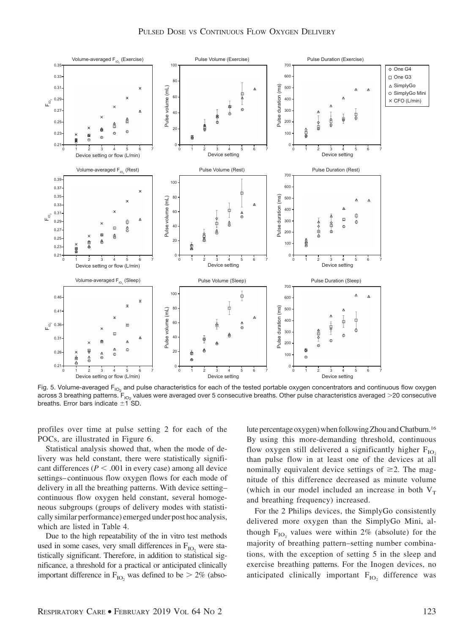

Fig. 5. Volume-averaged  $F_{1O_2}$  and pulse characteristics for each of the tested portable oxygen concentrators and continuous flow oxygen across 3 breathing patterns.  $F_{IO_2}$  values were averaged over 5 consecutive breaths. Other pulse characteristics averaged >20 consecutive breaths. Error bars indicate  $\pm 1$  SD.

profiles over time at pulse setting 2 for each of the POCs, are illustrated in Figure 6.

Statistical analysis showed that, when the mode of delivery was held constant, there were statistically significant differences ( $P < .001$  in every case) among all device settings– continuous flow oxygen flows for each mode of delivery in all the breathing patterns. With device setting– continuous flow oxygen held constant, several homogeneous subgroups (groups of delivery modes with statistically similar performance) emerged under post hoc analysis, which are listed in Table 4.

Due to the high repeatability of the in vitro test methods used in some cases, very small differences in  $F_{IO}$  were statistically significant. Therefore, in addition to statistical significance, a threshold for a practical or anticipated clinically important difference in  $F_{IO}$ , was defined to be  $> 2\%$  (absolute percentage oxygen) when following Zhou and Chatburn.<sup>16</sup> By using this more-demanding threshold, continuous flow oxygen still delivered a significantly higher  $F_{10}$ than pulse flow in at least one of the devices at all nominally equivalent device settings of  $\geq 2$ . The magnitude of this difference decreased as minute volume (which in our model included an increase in both  $V_T$ and breathing frequency) increased.

For the 2 Philips devices, the SimplyGo consistently delivered more oxygen than the SimplyGo Mini, although  $F_{IO}$  values were within 2% (absolute) for the majority of breathing pattern–setting number combinations, with the exception of setting 5 in the sleep and exercise breathing patterns. For the Inogen devices, no anticipated clinically important  $F_{IO}$ , difference was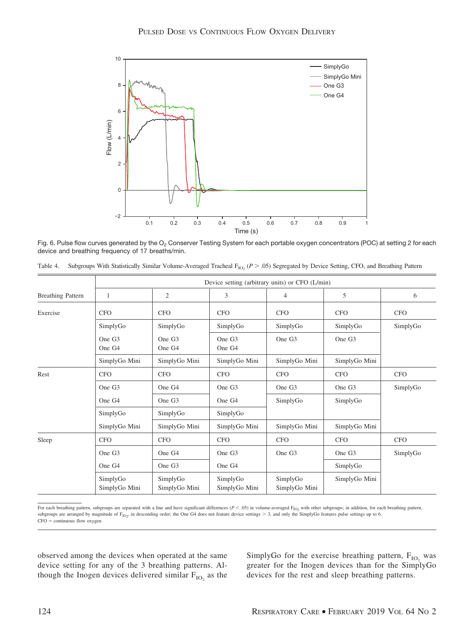

Fig. 6. Pulse flow curves generated by the  $O_2$  Conserver Testing System for each portable oxygen concentrators (POC) at setting 2 for each device and breathing frequency of 17 breaths/min.

|                          | Device setting (arbitrary units) or CFO (L/min) |                              |                              |                           |                    |            |
|--------------------------|-------------------------------------------------|------------------------------|------------------------------|---------------------------|--------------------|------------|
| <b>Breathing Pattern</b> | 1                                               | $\overline{2}$               | 3                            | $\overline{4}$            | 5                  | 6          |
| Exercise                 | <b>CFO</b>                                      | <b>CFO</b>                   | <b>CFO</b>                   | <b>CFO</b>                | <b>CFO</b>         | <b>CFO</b> |
|                          | SimplyGo                                        | SimplyGo                     | SimplyGo                     | SimplyGo                  | SimplyGo           | SimplyGo   |
|                          | One G <sub>3</sub><br>One G <sub>4</sub>        | One G <sub>3</sub><br>One G4 | One G <sub>3</sub><br>One G4 | One G <sub>3</sub>        | One G <sub>3</sub> |            |
|                          | SimplyGo Mini                                   | SimplyGo Mini                | SimplyGo Mini                | SimplyGo Mini             | SimplyGo Mini      |            |
| Rest                     | <b>CFO</b>                                      | <b>CFO</b>                   | <b>CFO</b>                   | <b>CFO</b>                | <b>CFO</b>         | <b>CFO</b> |
|                          | One G <sub>3</sub>                              | One G <sub>4</sub>           | One G <sub>3</sub>           | One G <sub>3</sub>        | One G <sub>3</sub> | SimplyGo   |
|                          | One G <sub>4</sub>                              | One G <sub>3</sub>           | One G <sub>4</sub>           | SimplyGo                  | SimplyGo           |            |
|                          | SimplyGo                                        | SimplyGo                     | SimplyGo                     |                           |                    |            |
|                          | SimplyGo Mini                                   | SimplyGo Mini                | SimplyGo Mini                | SimplyGo Mini             | SimplyGo Mini      |            |
| Sleep                    | <b>CFO</b>                                      | <b>CFO</b>                   | <b>CFO</b>                   | <b>CFO</b>                | <b>CFO</b>         | <b>CFO</b> |
|                          | One G <sub>3</sub>                              | One G <sub>4</sub>           | One G <sub>3</sub>           | One G <sub>3</sub>        | One G <sub>3</sub> | SimplyGo   |
|                          | One G <sub>4</sub>                              | One G <sub>3</sub>           | One G <sub>4</sub>           |                           | SimplyGo           |            |
|                          | SimplyGo<br>SimplyGo Mini                       | SimplyGo<br>SimplyGo Mini    | SimplyGo<br>SimplyGo Mini    | SimplyGo<br>SimplyGo Mini | SimplyGo Mini      |            |

Table 4. Subgroups With Statistically Similar Volume-Averaged Tracheal F<sub>IO2</sub> ( $P > .05$ ) Segregated by Device Setting, CFO, and Breathing Pattern

For each breathing pattern, subgroups are separated with a line and have significant differences  $(P < .05)$  in volume-averaged  $F_{1O_2}$  with other subgroups; in addition, for each breathing pattern, subgroups are arranged by magnitude of  $F_{IO2}$ , in descending order; the One G4 does not feature device settings  $> 3$ , and only the SimplyGo features pulse settings up to 6.  $CFO =$  continuous flow oxygen

observed among the devices when operated at the same device setting for any of the 3 breathing patterns. Although the Inogen devices delivered similar  $F_{IO<sub>2</sub>}$  as the SimplyGo for the exercise breathing pattern,  $F_{IO}$  was greater for the Inogen devices than for the SimplyGo devices for the rest and sleep breathing patterns.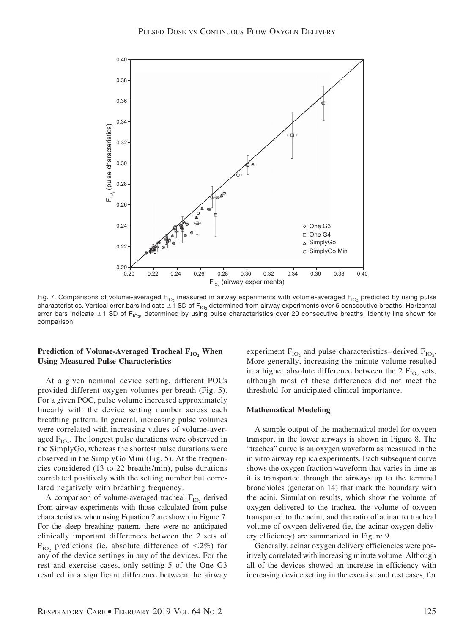

Fig. 7. Comparisons of volume-averaged F<sub>IO<sub>2</sub></sub> measured in airway experiments with volume-averaged F<sub>IO<sub>2</sub></sub> predicted by using pulse characteristics. Vertical error bars indicate  $\pm 1$  SD of F<sub>IO<sub>2</sub> determined from airway experiments over 5 consecutive breaths. Horizontal</sub> error bars indicate  $\pm 1$  SD of F<sub>IO2</sub>, determined by using pulse characteristics over 20 consecutive breaths. Identity line shown for comparison.

## Prediction of Volume-Averaged Tracheal F<sub>IO<sub>2</sub></sub> When **Using Measured Pulse Characteristics**

At a given nominal device setting, different POCs provided different oxygen volumes per breath (Fig. 5). For a given POC, pulse volume increased approximately linearly with the device setting number across each breathing pattern. In general, increasing pulse volumes were correlated with increasing values of volume-averaged  $F_{IO_2}$ . The longest pulse durations were observed in the SimplyGo, whereas the shortest pulse durations were observed in the SimplyGo Mini (Fig. 5). At the frequencies considered (13 to 22 breaths/min), pulse durations correlated positively with the setting number but correlated negatively with breathing frequency.

A comparison of volume-averaged tracheal  $F_{IO}$  derived from airway experiments with those calculated from pulse characteristics when using Equation 2 are shown in Figure 7. For the sleep breathing pattern, there were no anticipated clinically important differences between the 2 sets of  $F_{IO_2}$  predictions (ie, absolute difference of  $\langle 2\% \rangle$  for any of the device settings in any of the devices. For the rest and exercise cases, only setting 5 of the One G3 resulted in a significant difference between the airway

experiment  $F_{IO_2}$  and pulse characteristics–derived  $F_{IO_2}$ . More generally, increasing the minute volume resulted in a higher absolute difference between the 2  $F_{IO}$  sets, although most of these differences did not meet the threshold for anticipated clinical importance.

#### **Mathematical Modeling**

A sample output of the mathematical model for oxygen transport in the lower airways is shown in Figure 8. The "trachea" curve is an oxygen waveform as measured in the in vitro airway replica experiments. Each subsequent curve shows the oxygen fraction waveform that varies in time as it is transported through the airways up to the terminal bronchioles (generation 14) that mark the boundary with the acini. Simulation results, which show the volume of oxygen delivered to the trachea, the volume of oxygen transported to the acini, and the ratio of acinar to tracheal volume of oxygen delivered (ie, the acinar oxygen delivery efficiency) are summarized in Figure 9.

Generally, acinar oxygen delivery efficiencies were positively correlated with increasing minute volume. Although all of the devices showed an increase in efficiency with increasing device setting in the exercise and rest cases, for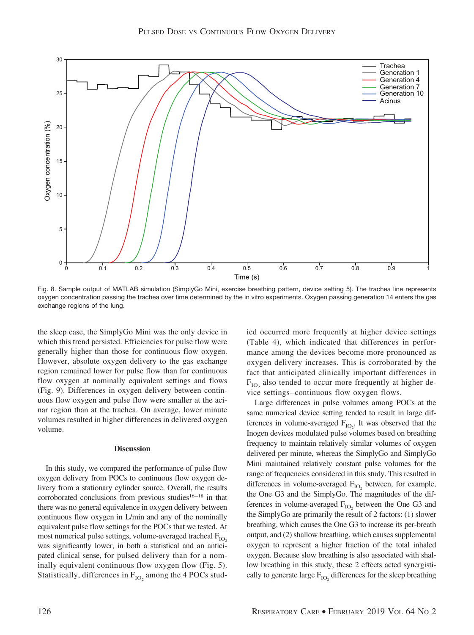

Fig. 8. Sample output of MATLAB simulation (SimplyGo Mini, exercise breathing pattern, device setting 5). The trachea line represents oxygen concentration passing the trachea over time determined by the in vitro experiments. Oxygen passing generation 14 enters the gas exchange regions of the lung.

the sleep case, the SimplyGo Mini was the only device in which this trend persisted. Efficiencies for pulse flow were generally higher than those for continuous flow oxygen. However, absolute oxygen delivery to the gas exchange region remained lower for pulse flow than for continuous flow oxygen at nominally equivalent settings and flows (Fig. 9). Differences in oxygen delivery between continuous flow oxygen and pulse flow were smaller at the acinar region than at the trachea. On average, lower minute volumes resulted in higher differences in delivered oxygen volume.

#### **Discussion**

In this study, we compared the performance of pulse flow oxygen delivery from POCs to continuous flow oxygen delivery from a stationary cylinder source. Overall, the results corroborated conclusions from previous studies<sup>16-18</sup> in that there was no general equivalence in oxygen delivery between continuous flow oxygen in L/min and any of the nominally equivalent pulse flow settings for the POCs that we tested. At most numerical pulse settings, volume-averaged tracheal  $F_{IO}$ was significantly lower, in both a statistical and an anticipated clinical sense, for pulsed delivery than for a nominally equivalent continuous flow oxygen flow (Fig. 5). Statistically, differences in  $F_{IO}$ , among the 4 POCs studied occurred more frequently at higher device settings (Table 4), which indicated that differences in performance among the devices become more pronounced as oxygen delivery increases. This is corroborated by the fact that anticipated clinically important differences in  $F_{IO}$  also tended to occur more frequently at higher device settings– continuous flow oxygen flows.

Large differences in pulse volumes among POCs at the same numerical device setting tended to result in large differences in volume-averaged  $F_{IO_2}$ . It was observed that the Inogen devices modulated pulse volumes based on breathing frequency to maintain relatively similar volumes of oxygen delivered per minute, whereas the SimplyGo and SimplyGo Mini maintained relatively constant pulse volumes for the range of frequencies considered in this study. This resulted in differences in volume-averaged  $F_{IO}$  between, for example, the One G3 and the SimplyGo. The magnitudes of the differences in volume-averaged  $F_{IO}$  between the One G3 and the SimplyGo are primarily the result of 2 factors: (1) slower breathing, which causes the One G3 to increase its per-breath output, and (2) shallow breathing, which causes supplemental oxygen to represent a higher fraction of the total inhaled oxygen. Because slow breathing is also associated with shallow breathing in this study, these 2 effects acted synergistically to generate large  $F_{IO}$  differences for the sleep breathing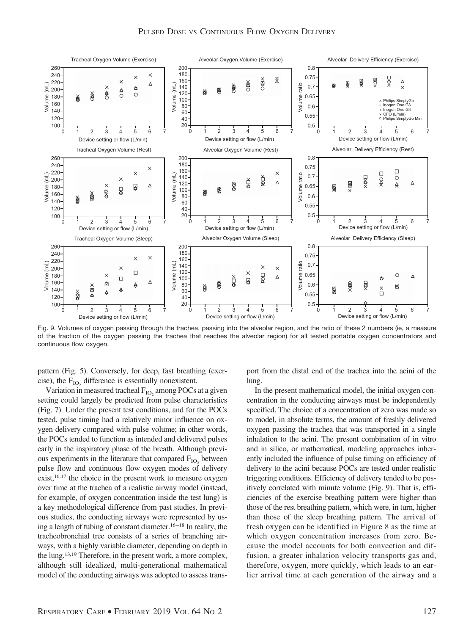

Fig. 9. Volumes of oxygen passing through the trachea, passing into the alveolar region, and the ratio of these 2 numbers (ie, a measure of the fraction of the oxygen passing the trachea that reaches the alveolar region) for all tested portable oxygen concentrators and continuous flow oxygen.

pattern (Fig. 5). Conversely, for deep, fast breathing (exercise), the  $F_{IO}$  difference is essentially nonexistent.

Variation in measured tracheal  $F_{IO_2}$  among POCs at a given setting could largely be predicted from pulse characteristics (Fig. 7). Under the present test conditions, and for the POCs tested, pulse timing had a relatively minor influence on oxygen delivery compared with pulse volume; in other words, the POCs tended to function as intended and delivered pulses early in the inspiratory phase of the breath. Although previous experiments in the literature that compared  $F_{IO}$  between pulse flow and continuous flow oxygen modes of delivery exist, $16,17$  the choice in the present work to measure oxygen over time at the trachea of a realistic airway model (instead, for example, of oxygen concentration inside the test lung) is a key methodological difference from past studies. In previous studies, the conducting airways were represented by using a length of tubing of constant diameter.<sup>16–18</sup> In reality, the tracheobronchial tree consists of a series of branching airways, with a highly variable diameter, depending on depth in the lung.13,19 Therefore, in the present work, a more complex, although still idealized, multi-generational mathematical model of the conducting airways was adopted to assess transport from the distal end of the trachea into the acini of the lung.

In the present mathematical model, the initial oxygen concentration in the conducting airways must be independently specified. The choice of a concentration of zero was made so to model, in absolute terms, the amount of freshly delivered oxygen passing the trachea that was transported in a single inhalation to the acini. The present combination of in vitro and in silico, or mathematical, modeling approaches inherently included the influence of pulse timing on efficiency of delivery to the acini because POCs are tested under realistic triggering conditions. Efficiency of delivery tended to be positively correlated with minute volume (Fig. 9). That is, efficiencies of the exercise breathing pattern were higher than those of the rest breathing pattern, which were, in turn, higher than those of the sleep breathing pattern. The arrival of fresh oxygen can be identified in Figure 8 as the time at which oxygen concentration increases from zero. Because the model accounts for both convection and diffusion, a greater inhalation velocity transports gas and, therefore, oxygen, more quickly, which leads to an earlier arrival time at each generation of the airway and a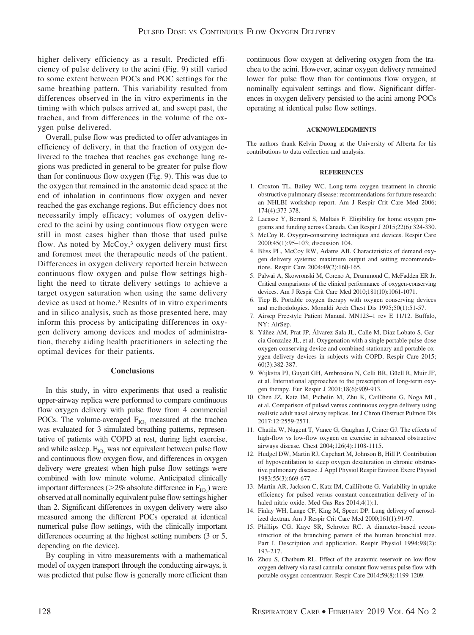higher delivery efficiency as a result. Predicted efficiency of pulse delivery to the acini (Fig. 9) still varied to some extent between POCs and POC settings for the same breathing pattern. This variability resulted from differences observed in the in vitro experiments in the timing with which pulses arrived at, and swept past, the trachea, and from differences in the volume of the oxygen pulse delivered.

Overall, pulse flow was predicted to offer advantages in efficiency of delivery, in that the fraction of oxygen delivered to the trachea that reaches gas exchange lung regions was predicted in general to be greater for pulse flow than for continuous flow oxygen (Fig. 9). This was due to the oxygen that remained in the anatomic dead space at the end of inhalation in continuous flow oxygen and never reached the gas exchange regions. But efficiency does not necessarily imply efficacy; volumes of oxygen delivered to the acini by using continuous flow oxygen were still in most cases higher than those that used pulse flow. As noted by McCoy,<sup>3</sup> oxygen delivery must first and foremost meet the therapeutic needs of the patient. Differences in oxygen delivery reported herein between continuous flow oxygen and pulse flow settings highlight the need to titrate delivery settings to achieve a target oxygen saturation when using the same delivery device as used at home.2 Results of in vitro experiments and in silico analysis, such as those presented here, may inform this process by anticipating differences in oxygen delivery among devices and modes of administration, thereby aiding health practitioners in selecting the optimal devices for their patients.

#### **Conclusions**

In this study, in vitro experiments that used a realistic upper-airway replica were performed to compare continuous flow oxygen delivery with pulse flow from 4 commercial POCs. The volume-averaged  $F_{IO}$  measured at the trachea was evaluated for 3 simulated breathing patterns, representative of patients with COPD at rest, during light exercise, and while asleep.  $F_{IO}$  was not equivalent between pulse flow and continuous flow oxygen flow, and differences in oxygen delivery were greatest when high pulse flow settings were combined with low minute volume. Anticipated clinically important differences ( $>$ 2% absolute difference in  $F_{IO_2}$ ) were observed at all nominally equivalent pulse flow settings higher than 2. Significant differences in oxygen delivery were also measured among the different POCs operated at identical numerical pulse flow settings, with the clinically important differences occurring at the highest setting numbers (3 or 5, depending on the device).

By coupling in vitro measurements with a mathematical model of oxygen transport through the conducting airways, it was predicted that pulse flow is generally more efficient than continuous flow oxygen at delivering oxygen from the trachea to the acini. However, acinar oxygen delivery remained lower for pulse flow than for continuous flow oxygen, at nominally equivalent settings and flow. Significant differences in oxygen delivery persisted to the acini among POCs operating at identical pulse flow settings.

### **ACKNOWLEDGMENTS**

The authors thank Kelvin Duong at the University of Alberta for his contributions to data collection and analysis.

#### **REFERENCES**

- 1. Croxton TL, Bailey WC. Long-term oxygen treatment in chronic obstructive pulmonary disease: recommendations for future research: an NHLBI workshop report. Am J Respir Crit Care Med 2006; 174(4):373-378.
- 2. Lacasse Y, Bernard S, Maltais F. Eligibility for home oxygen programs and funding across Canada. Can Respir J 2015;22(6):324-330.
- 3. McCoy R. Oxygen-conserving techniques and devices. Respir Care 2000;45(1):95–103; discussion 104.
- 4. Bliss PL, McCoy RW, Adams AB. Characteristics of demand oxygen delivery systems: maximum output and setting recommendations. Respir Care 2004;49(2):160-165.
- 5. Palwai A, Skowronski M, Coreno A, Drummond C, McFadden ER Jr. Critical comparisons of the clinical performance of oxygen-conserving devices. Am J Respir Crit Care Med 2010;181(10):1061-1071.
- 6. Tiep B. Portable oxygen therapy with oxygen conserving devices and methodologies. Monaldi Arch Chest Dis 1995;50(1):51-57.
- 7. Airsep Freestyle Patient Manual. MN123–1 rev E 11/12. Buffalo, NY: AirSep.
- 8. Yáñez AM, Prat JP, Álvarez-Sala JL, Calle M, Diaz Lobato S, Garcia Gonzalez JL, et al. Oxygenation with a single portable pulse-dose oxygen-conserving device and combined stationary and portable oxygen delivery devices in subjects with COPD. Respir Care 2015; 60(3):382-387.
- 9. Wijkstra PJ, Guyatt GH, Ambrosino N, Celli BR, Güell R, Muir JF, et al. International approaches to the prescription of long-term oxygen therapy. Eur Respir J 2001;18(6):909-913.
- 10. Chen JZ, Katz IM, Pichelin M, Zhu K, Caillibotte G, Noga ML, et al. Comparison of pulsed versus continuous oxygen delivery using realistic adult nasal airway replicas. Int J Chron Obstruct Pulmon Dis 2017;12:2559-2571.
- 11. Chatila W, Nugent T, Vance G, Gaughan J, Criner GJ. The effects of high-flow vs low-flow oxygen on exercise in advanced obstructive airways disease. Chest 2004;126(4):1108-1115.
- 12. Hudgel DW, Martin RJ, Capehart M, Johnson B, Hill P. Contribution of hypoventilation to sleep oxygen desaturation in chronic obstructive pulmonary disease. J Appl Physiol Respir Environ Exerc Physiol 1983;55(3):669-677.
- 13. Martin AR, Jackson C, Katz IM, Caillibotte G. Variability in uptake efficiency for pulsed versus constant concentration delivery of inhaled nitric oxide. Med Gas Res 2014;4(1):1.
- 14. Finlay WH, Lange CF, King M, Speert DP. Lung delivery of aerosolized dextran. Am J Respir Crit Care Med 2000;161(1):91-97.
- 15. Phillips CG, Kaye SR, Schroter RC. A diameter-based reconstruction of the branching pattern of the human bronchial tree. Part I. Description and application. Respir Physiol 1994;98(2): 193-217.
- 16. Zhou S, Chatburn RL. Effect of the anatomic reservoir on low-flow oxygen delivery via nasal cannula: constant flow versus pulse flow with portable oxygen concentrator. Respir Care 2014;59(8):1199-1209.